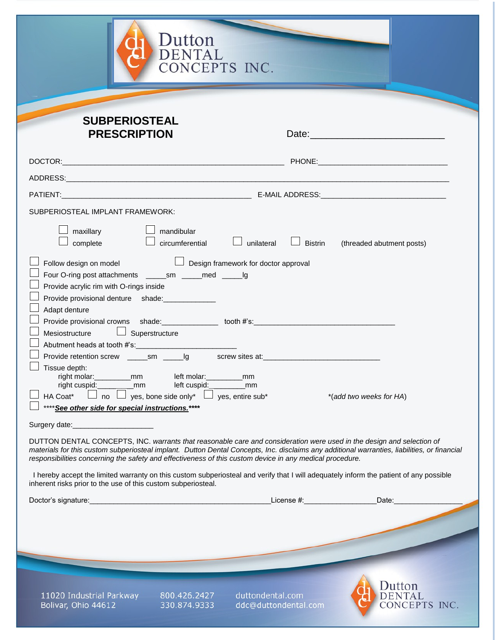| CONCEPTS INC.<br><b>SUBPERIOSTEAL</b>                                                                                                                                                                                                                                                                                                                                             |                                                                                                                |
|-----------------------------------------------------------------------------------------------------------------------------------------------------------------------------------------------------------------------------------------------------------------------------------------------------------------------------------------------------------------------------------|----------------------------------------------------------------------------------------------------------------|
| <b>PRESCRIPTION</b>                                                                                                                                                                                                                                                                                                                                                               | Date: 2008 2010 2010 2021 2022 2023 2024 2022 2022 2023 2024 2022 2023 2024 2022 2023 2024 2022 2023 2024 2025 |
|                                                                                                                                                                                                                                                                                                                                                                                   |                                                                                                                |
|                                                                                                                                                                                                                                                                                                                                                                                   |                                                                                                                |
|                                                                                                                                                                                                                                                                                                                                                                                   |                                                                                                                |
| PATIENT: E-MAIL ADDRESS: E-MAIL ADDRESS:                                                                                                                                                                                                                                                                                                                                          |                                                                                                                |
| SUBPERIOSTEAL IMPLANT FRAMEWORK:                                                                                                                                                                                                                                                                                                                                                  |                                                                                                                |
| maxillary<br>$\Box$ mandibular<br>complete<br>circumferential<br>unilateral                                                                                                                                                                                                                                                                                                       | $\Box$ Bistrin<br>(threaded abutment posts)                                                                    |
| Follow design on model Design framework for doctor approval<br>Four O-ring post attachments _______sm ______med _______lg<br>Provide acrylic rim with O-rings inside<br>Provide provisional denture shade: ______________<br>Adapt denture                                                                                                                                        |                                                                                                                |
| Provide provisional crowns shade: ______________ tooth #'s: _____________________<br>Mesiostructure<br>Superstructure<br>Provide retention screw ______sm _____lg screw sites at:________________________                                                                                                                                                                         |                                                                                                                |
| Tissue depth:<br>right molar:___________mm<br>right cuspid:_____________mm<br>left molar: mm<br>left cuspid:____________mm<br>$\Box$ no $\Box$ yes, bone side only <sup>*</sup> $\Box$ yes, entire sub <sup>*</sup><br>HA Coat*                                                                                                                                                   | *(add two weeks for HA)                                                                                        |
| **** See other side for special instructions.****                                                                                                                                                                                                                                                                                                                                 |                                                                                                                |
| DUTTON DENTAL CONCEPTS, INC. warrants that reasonable care and consideration were used in the design and selection of<br>materials for this custom subperiosteal implant. Dutton Dental Concepts, Inc. disclaims any additional warranties, liabilities, or financial<br>responsibilities concerning the safety and effectiveness of this custom device in any medical procedure. |                                                                                                                |
| I hereby accept the limited warranty on this custom subperiosteal and verify that I will adequately inform the patient of any possible<br>inherent risks prior to the use of this custom subperiosteal.                                                                                                                                                                           |                                                                                                                |
| Doctor's signature: <u>contract and contract and contract and contract and contract and contract and contract and contract and contract and contract and contract and contract and contract and contract and contract and contra</u>                                                                                                                                              | License #: Date:                                                                                               |
|                                                                                                                                                                                                                                                                                                                                                                                   |                                                                                                                |
|                                                                                                                                                                                                                                                                                                                                                                                   |                                                                                                                |
|                                                                                                                                                                                                                                                                                                                                                                                   |                                                                                                                |
|                                                                                                                                                                                                                                                                                                                                                                                   |                                                                                                                |
| 11020 Industrial Parkway<br>duttondental.com<br>800.426.2427<br>Bolivar, Ohio 44612<br>330.874.9333                                                                                                                                                                                                                                                                               | Dutton<br><b>DENTAL</b><br>CONCEPTS INC.<br>ddc@duttondental.com                                               |